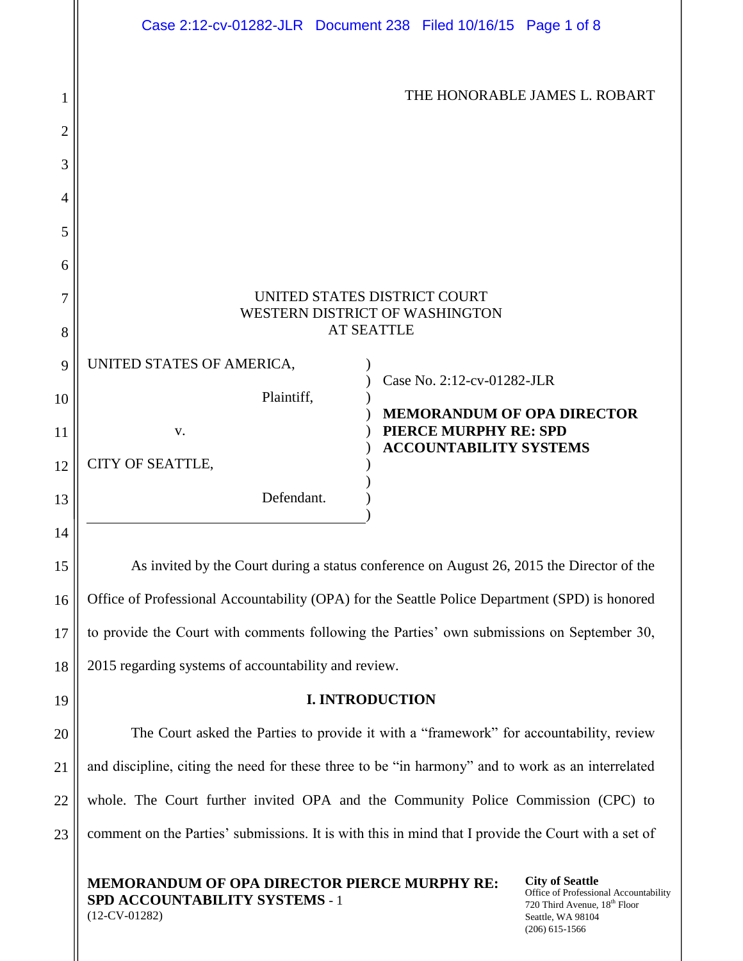|        | Case 2:12-cv-01282-JLR  Document 238  Filed 10/16/15  Page 1 of 8                              |
|--------|------------------------------------------------------------------------------------------------|
| 1<br>2 | THE HONORABLE JAMES L. ROBART                                                                  |
| 3      |                                                                                                |
| 4      |                                                                                                |
| 5      |                                                                                                |
| 6      |                                                                                                |
| 7      | UNITED STATES DISTRICT COURT<br>WESTERN DISTRICT OF WASHINGTON                                 |
| 8      | <b>AT SEATTLE</b>                                                                              |
| 9      | UNITED STATES OF AMERICA,                                                                      |
| 10     | Case No. 2:12-cv-01282-JLR<br>Plaintiff,                                                       |
| 11     | <b>MEMORANDUM OF OPA DIRECTOR</b><br>PIERCE MURPHY RE: SPD<br>V.                               |
| 12     | <b>ACCOUNTABILITY SYSTEMS</b><br>CITY OF SEATTLE,                                              |
| 13     | Defendant.                                                                                     |
| 14     |                                                                                                |
| 15     | As invited by the Court during a status conference on August 26, 2015 the Director of the      |
| 16     | Office of Professional Accountability (OPA) for the Seattle Police Department (SPD) is honored |
| 17     | to provide the Court with comments following the Parties' own submissions on September 30,     |
| 18     | 2015 regarding systems of accountability and review.                                           |
| 19     | <b>I. INTRODUCTION</b>                                                                         |
| 20     | The Court asked the Parties to provide it with a "framework" for accountability, review        |

and discipline, citing the need for these three to be "in harmony" and to work as an interrelated whole. The Court further invited OPA and the Community Police Commission (CPC) to comment on the Parties' submissions. It is with this in mind that I provide the Court with a set of

**MEMORANDUM OF OPA DIRECTOR PIERCE MURPHY RE: SPD ACCOUNTABILITY SYSTEMS** - 1 (12-CV-01282)

21

22

23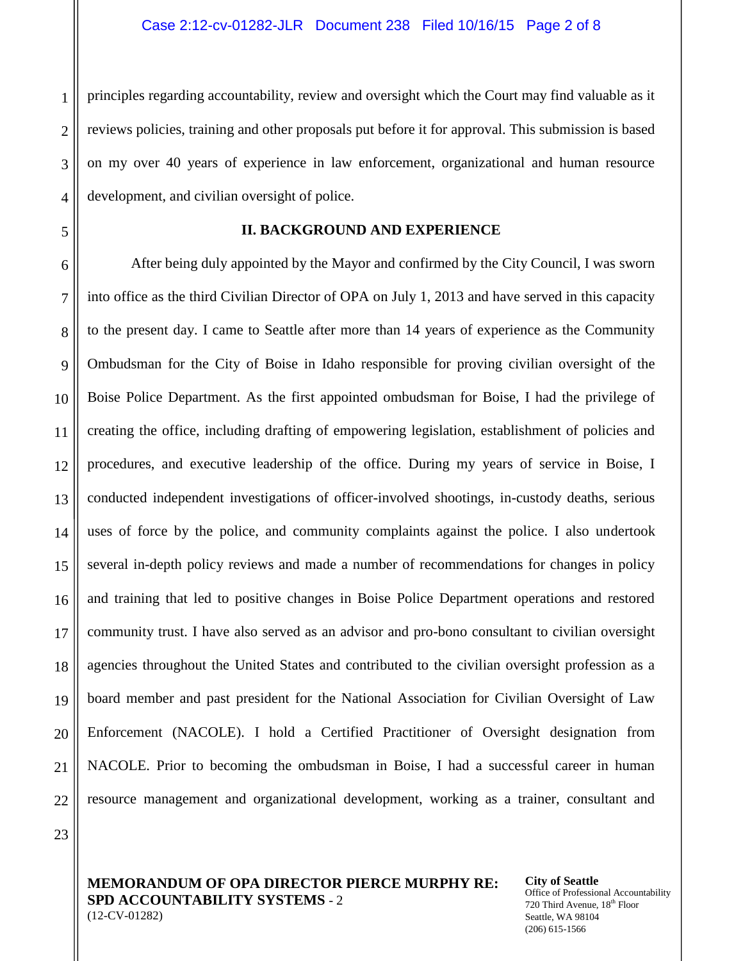principles regarding accountability, review and oversight which the Court may find valuable as it reviews policies, training and other proposals put before it for approval. This submission is based on my over 40 years of experience in law enforcement, organizational and human resource development, and civilian oversight of police.

## **II. BACKGROUND AND EXPERIENCE**

After being duly appointed by the Mayor and confirmed by the City Council, I was sworn into office as the third Civilian Director of OPA on July 1, 2013 and have served in this capacity to the present day. I came to Seattle after more than 14 years of experience as the Community Ombudsman for the City of Boise in Idaho responsible for proving civilian oversight of the Boise Police Department. As the first appointed ombudsman for Boise, I had the privilege of creating the office, including drafting of empowering legislation, establishment of policies and procedures, and executive leadership of the office. During my years of service in Boise, I conducted independent investigations of officer-involved shootings, in-custody deaths, serious uses of force by the police, and community complaints against the police. I also undertook several in-depth policy reviews and made a number of recommendations for changes in policy and training that led to positive changes in Boise Police Department operations and restored community trust. I have also served as an advisor and pro-bono consultant to civilian oversight agencies throughout the United States and contributed to the civilian oversight profession as a board member and past president for the National Association for Civilian Oversight of Law Enforcement (NACOLE). I hold a Certified Practitioner of Oversight designation from NACOLE. Prior to becoming the ombudsman in Boise, I had a successful career in human resource management and organizational development, working as a trainer, consultant and

23

1

 $\mathcal{D}_{\mathcal{L}}$ 

3

4

5

6

7

8

9

10

11

12

13

14

15

16

17

18

19

20

21

22

**MEMORANDUM OF OPA DIRECTOR PIERCE MURPHY RE: SPD ACCOUNTABILITY SYSTEMS** - 2 (12-CV-01282)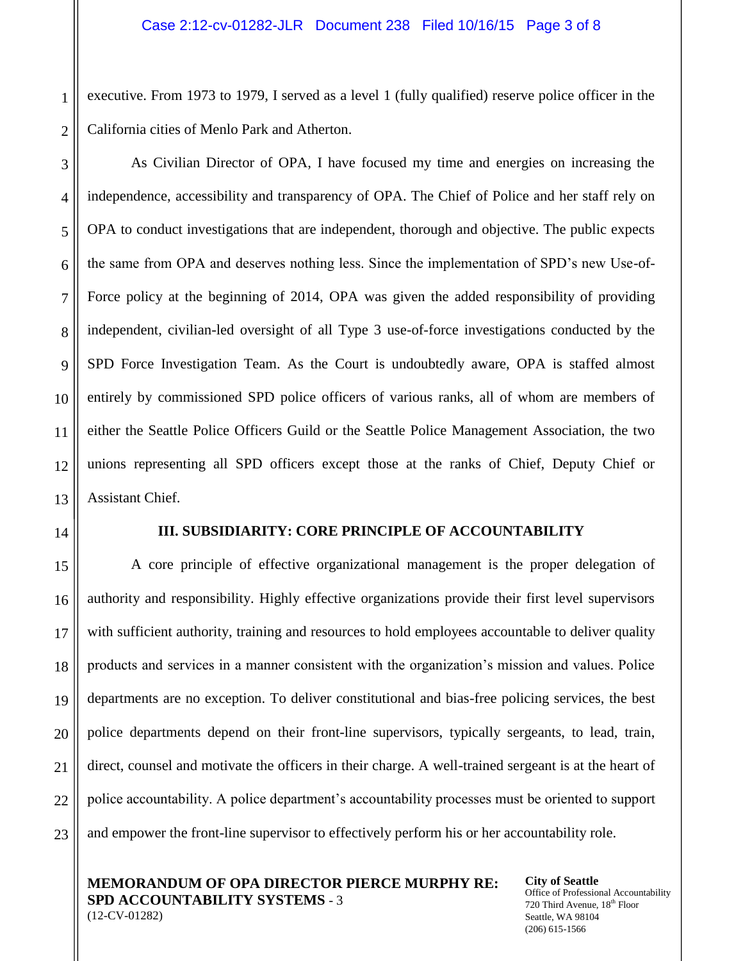executive. From 1973 to 1979, I served as a level 1 (fully qualified) reserve police officer in the California cities of Menlo Park and Atherton.

As Civilian Director of OPA, I have focused my time and energies on increasing the independence, accessibility and transparency of OPA. The Chief of Police and her staff rely on OPA to conduct investigations that are independent, thorough and objective. The public expects the same from OPA and deserves nothing less. Since the implementation of SPD's new Use-of-Force policy at the beginning of 2014, OPA was given the added responsibility of providing independent, civilian-led oversight of all Type 3 use-of-force investigations conducted by the SPD Force Investigation Team. As the Court is undoubtedly aware, OPA is staffed almost entirely by commissioned SPD police officers of various ranks, all of whom are members of either the Seattle Police Officers Guild or the Seattle Police Management Association, the two unions representing all SPD officers except those at the ranks of Chief, Deputy Chief or Assistant Chief.

# **III. SUBSIDIARITY: CORE PRINCIPLE OF ACCOUNTABILITY**

A core principle of effective organizational management is the proper delegation of authority and responsibility. Highly effective organizations provide their first level supervisors with sufficient authority, training and resources to hold employees accountable to deliver quality products and services in a manner consistent with the organization's mission and values. Police departments are no exception. To deliver constitutional and bias-free policing services, the best police departments depend on their front-line supervisors, typically sergeants, to lead, train, direct, counsel and motivate the officers in their charge. A well-trained sergeant is at the heart of police accountability. A police department's accountability processes must be oriented to support and empower the front-line supervisor to effectively perform his or her accountability role.

**MEMORANDUM OF OPA DIRECTOR PIERCE MURPHY RE: SPD ACCOUNTABILITY SYSTEMS** - 3 (12-CV-01282)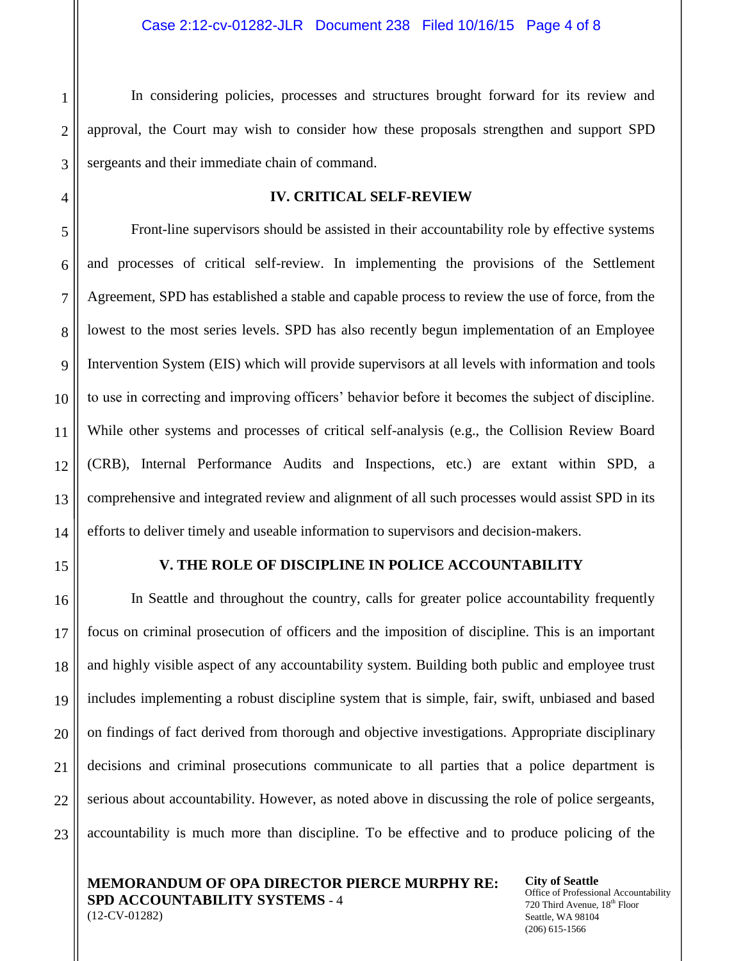In considering policies, processes and structures brought forward for its review and approval, the Court may wish to consider how these proposals strengthen and support SPD sergeants and their immediate chain of command.

## **IV. CRITICAL SELF-REVIEW**

Front-line supervisors should be assisted in their accountability role by effective systems and processes of critical self-review. In implementing the provisions of the Settlement Agreement, SPD has established a stable and capable process to review the use of force, from the lowest to the most series levels. SPD has also recently begun implementation of an Employee Intervention System (EIS) which will provide supervisors at all levels with information and tools to use in correcting and improving officers' behavior before it becomes the subject of discipline. While other systems and processes of critical self-analysis (e.g., the Collision Review Board (CRB), Internal Performance Audits and Inspections, etc.) are extant within SPD, a comprehensive and integrated review and alignment of all such processes would assist SPD in its efforts to deliver timely and useable information to supervisors and decision-makers.

### **V. THE ROLE OF DISCIPLINE IN POLICE ACCOUNTABILITY**

In Seattle and throughout the country, calls for greater police accountability frequently focus on criminal prosecution of officers and the imposition of discipline. This is an important and highly visible aspect of any accountability system. Building both public and employee trust includes implementing a robust discipline system that is simple, fair, swift, unbiased and based on findings of fact derived from thorough and objective investigations. Appropriate disciplinary decisions and criminal prosecutions communicate to all parties that a police department is serious about accountability. However, as noted above in discussing the role of police sergeants, accountability is much more than discipline. To be effective and to produce policing of the

**MEMORANDUM OF OPA DIRECTOR PIERCE MURPHY RE: SPD ACCOUNTABILITY SYSTEMS** - 4 (12-CV-01282)

**City of Seattle** Office of Professional Accountability 720 Third Avenue, 18<sup>th</sup> Floor Seattle, WA 98104 (206) 615-1566

1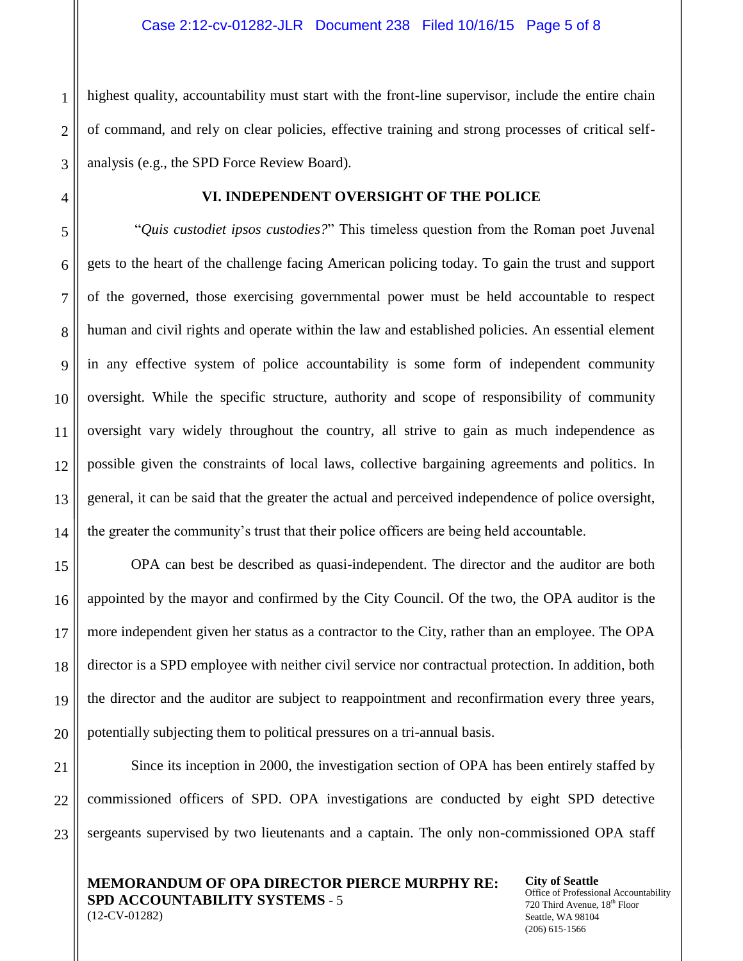highest quality, accountability must start with the front-line supervisor, include the entire chain of command, and rely on clear policies, effective training and strong processes of critical selfanalysis (e.g., the SPD Force Review Board).

1

 $\mathcal{D}_{\mathcal{L}}$ 

3

4

5

6

7

8

9

10

11

12

13

14

15

16

17

18

19

20

21

22

23

# **VI. INDEPENDENT OVERSIGHT OF THE POLICE**

"*Quis custodiet ipsos custodies?*" This timeless question from the Roman poet Juvenal gets to the heart of the challenge facing American policing today. To gain the trust and support of the governed, those exercising governmental power must be held accountable to respect human and civil rights and operate within the law and established policies. An essential element in any effective system of police accountability is some form of independent community oversight. While the specific structure, authority and scope of responsibility of community oversight vary widely throughout the country, all strive to gain as much independence as possible given the constraints of local laws, collective bargaining agreements and politics. In general, it can be said that the greater the actual and perceived independence of police oversight, the greater the community's trust that their police officers are being held accountable.

OPA can best be described as quasi-independent. The director and the auditor are both appointed by the mayor and confirmed by the City Council. Of the two, the OPA auditor is the more independent given her status as a contractor to the City, rather than an employee. The OPA director is a SPD employee with neither civil service nor contractual protection. In addition, both the director and the auditor are subject to reappointment and reconfirmation every three years, potentially subjecting them to political pressures on a tri-annual basis.

Since its inception in 2000, the investigation section of OPA has been entirely staffed by commissioned officers of SPD. OPA investigations are conducted by eight SPD detective sergeants supervised by two lieutenants and a captain. The only non-commissioned OPA staff

**MEMORANDUM OF OPA DIRECTOR PIERCE MURPHY RE: SPD ACCOUNTABILITY SYSTEMS** - 5 (12-CV-01282)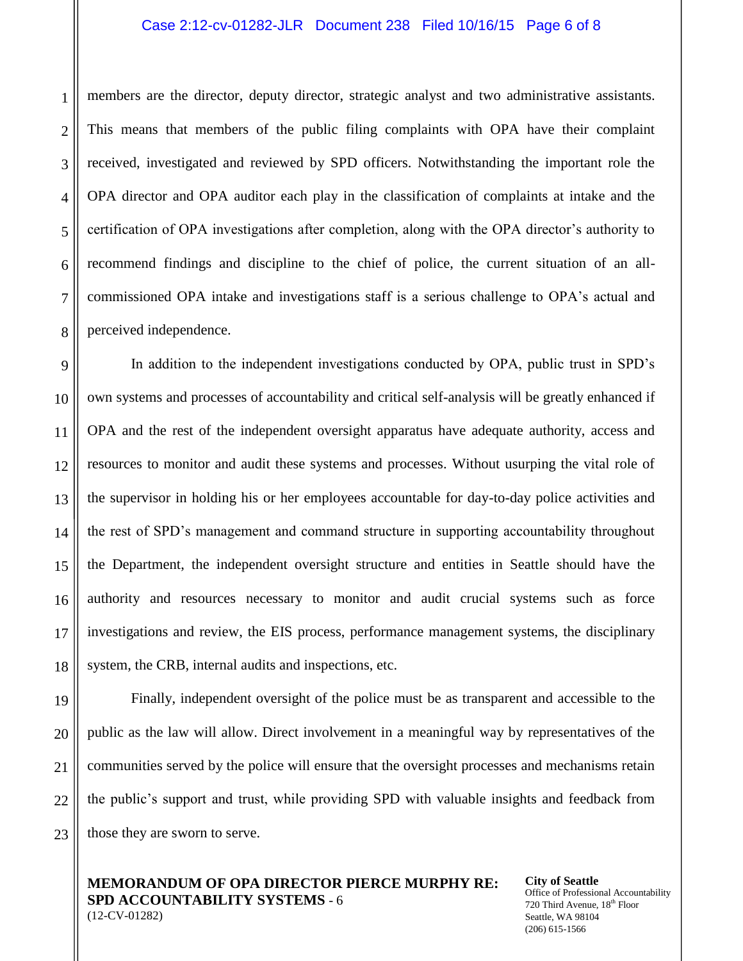### Case 2:12-cv-01282-JLR Document 238 Filed 10/16/15 Page 6 of 8

members are the director, deputy director, strategic analyst and two administrative assistants. This means that members of the public filing complaints with OPA have their complaint received, investigated and reviewed by SPD officers. Notwithstanding the important role the OPA director and OPA auditor each play in the classification of complaints at intake and the certification of OPA investigations after completion, along with the OPA director's authority to recommend findings and discipline to the chief of police, the current situation of an allcommissioned OPA intake and investigations staff is a serious challenge to OPA's actual and perceived independence.

In addition to the independent investigations conducted by OPA, public trust in SPD's own systems and processes of accountability and critical self-analysis will be greatly enhanced if OPA and the rest of the independent oversight apparatus have adequate authority, access and resources to monitor and audit these systems and processes. Without usurping the vital role of the supervisor in holding his or her employees accountable for day-to-day police activities and the rest of SPD's management and command structure in supporting accountability throughout the Department, the independent oversight structure and entities in Seattle should have the authority and resources necessary to monitor and audit crucial systems such as force investigations and review, the EIS process, performance management systems, the disciplinary system, the CRB, internal audits and inspections, etc.

Finally, independent oversight of the police must be as transparent and accessible to the public as the law will allow. Direct involvement in a meaningful way by representatives of the communities served by the police will ensure that the oversight processes and mechanisms retain the public's support and trust, while providing SPD with valuable insights and feedback from those they are sworn to serve.

**MEMORANDUM OF OPA DIRECTOR PIERCE MURPHY RE: SPD ACCOUNTABILITY SYSTEMS** - 6 (12-CV-01282)

**City of Seattle** Office of Professional Accountability 720 Third Avenue, 18<sup>th</sup> Floor Seattle, WA 98104 (206) 615-1566

1

 $\mathcal{D}_{\mathcal{L}}$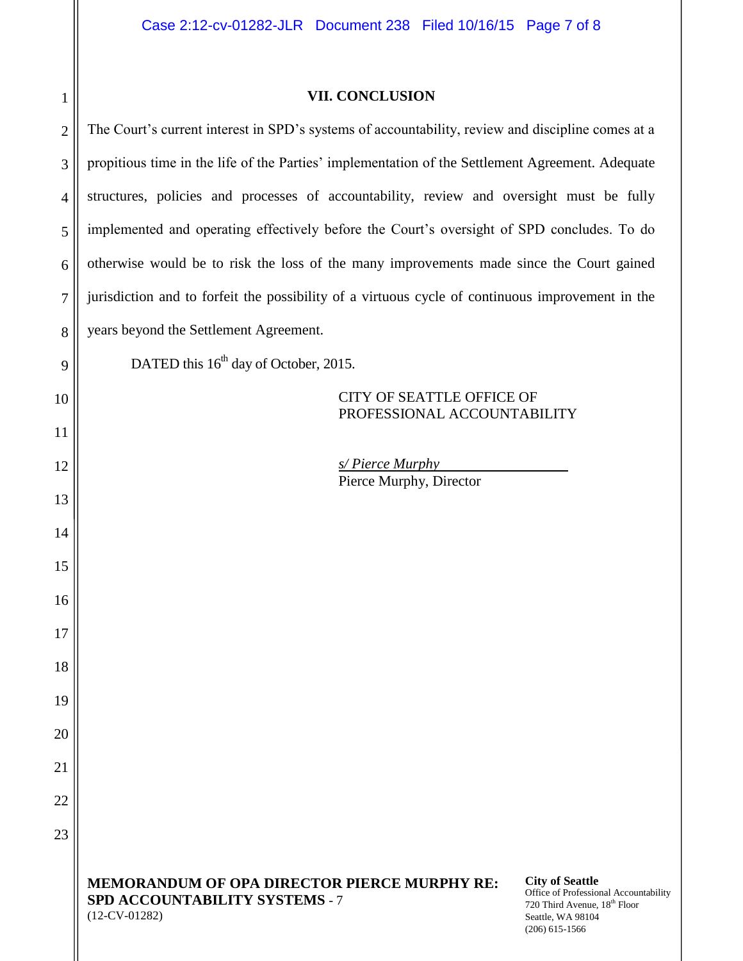| $\mathbf 1$    | <b>VII. CONCLUSION</b>                                                                                                                                                                                                                                       |
|----------------|--------------------------------------------------------------------------------------------------------------------------------------------------------------------------------------------------------------------------------------------------------------|
| $\overline{c}$ | The Court's current interest in SPD's systems of accountability, review and discipline comes at a                                                                                                                                                            |
| 3              | propitious time in the life of the Parties' implementation of the Settlement Agreement. Adequate                                                                                                                                                             |
| $\overline{4}$ | structures, policies and processes of accountability, review and oversight must be fully                                                                                                                                                                     |
| 5              | implemented and operating effectively before the Court's oversight of SPD concludes. To do                                                                                                                                                                   |
| 6              | otherwise would be to risk the loss of the many improvements made since the Court gained                                                                                                                                                                     |
| 7              | jurisdiction and to forfeit the possibility of a virtuous cycle of continuous improvement in the                                                                                                                                                             |
| 8              | years beyond the Settlement Agreement.                                                                                                                                                                                                                       |
| 9              | DATED this 16 <sup>th</sup> day of October, 2015.                                                                                                                                                                                                            |
| 10             | <b>CITY OF SEATTLE OFFICE OF</b><br>PROFESSIONAL ACCOUNTABILITY                                                                                                                                                                                              |
| 11             |                                                                                                                                                                                                                                                              |
| 12             | s/Pierce Murphy<br>Pierce Murphy, Director                                                                                                                                                                                                                   |
| 13             |                                                                                                                                                                                                                                                              |
| 14             |                                                                                                                                                                                                                                                              |
| 15             |                                                                                                                                                                                                                                                              |
| 16             |                                                                                                                                                                                                                                                              |
| 17             |                                                                                                                                                                                                                                                              |
| 18             |                                                                                                                                                                                                                                                              |
| 19             |                                                                                                                                                                                                                                                              |
| 20             |                                                                                                                                                                                                                                                              |
| 21             |                                                                                                                                                                                                                                                              |
| 22             |                                                                                                                                                                                                                                                              |
| 23             |                                                                                                                                                                                                                                                              |
|                | <b>City of Seattle</b><br><b>MEMORANDUM OF OPA DIRECTOR PIERCE MURPHY RE:</b><br>Office of Professional Accountability<br><b>SPD ACCOUNTABILITY SYSTEMS - 7</b><br>720 Third Avenue, 18th Floor<br>$(12$ -CV-01282)<br>Seattle, WA 98104<br>$(206)$ 615-1566 |